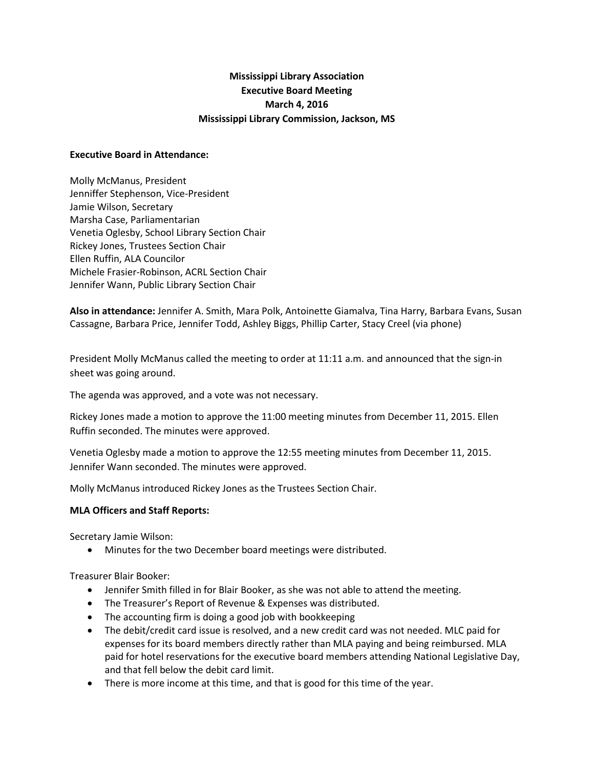# **Mississippi Library Association Executive Board Meeting March 4, 2016 Mississippi Library Commission, Jackson, MS**

#### **Executive Board in Attendance:**

Molly McManus, President Jenniffer Stephenson, Vice-President Jamie Wilson, Secretary Marsha Case, Parliamentarian Venetia Oglesby, School Library Section Chair Rickey Jones, Trustees Section Chair Ellen Ruffin, ALA Councilor Michele Frasier-Robinson, ACRL Section Chair Jennifer Wann, Public Library Section Chair

**Also in attendance:** Jennifer A. Smith, Mara Polk, Antoinette Giamalva, Tina Harry, Barbara Evans, Susan Cassagne, Barbara Price, Jennifer Todd, Ashley Biggs, Phillip Carter, Stacy Creel (via phone)

President Molly McManus called the meeting to order at 11:11 a.m. and announced that the sign-in sheet was going around.

The agenda was approved, and a vote was not necessary.

Rickey Jones made a motion to approve the 11:00 meeting minutes from December 11, 2015. Ellen Ruffin seconded. The minutes were approved.

Venetia Oglesby made a motion to approve the 12:55 meeting minutes from December 11, 2015. Jennifer Wann seconded. The minutes were approved.

Molly McManus introduced Rickey Jones as the Trustees Section Chair.

## **MLA Officers and Staff Reports:**

Secretary Jamie Wilson:

Minutes for the two December board meetings were distributed.

Treasurer Blair Booker:

- Jennifer Smith filled in for Blair Booker, as she was not able to attend the meeting.
- The Treasurer's Report of Revenue & Expenses was distributed.
- The accounting firm is doing a good job with bookkeeping
- The debit/credit card issue is resolved, and a new credit card was not needed. MLC paid for expenses for its board members directly rather than MLA paying and being reimbursed. MLA paid for hotel reservations for the executive board members attending National Legislative Day, and that fell below the debit card limit.
- There is more income at this time, and that is good for this time of the year.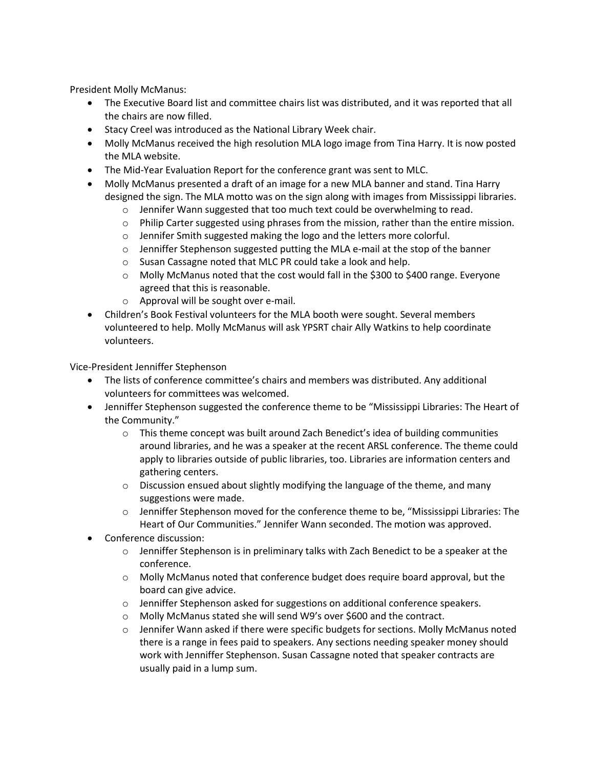President Molly McManus:

- The Executive Board list and committee chairs list was distributed, and it was reported that all the chairs are now filled.
- **Stacy Creel was introduced as the National Library Week chair.**
- Molly McManus received the high resolution MLA logo image from Tina Harry. It is now posted the MLA website.
- The Mid-Year Evaluation Report for the conference grant was sent to MLC.
- Molly McManus presented a draft of an image for a new MLA banner and stand. Tina Harry designed the sign. The MLA motto was on the sign along with images from Mississippi libraries.
	- $\circ$  Jennifer Wann suggested that too much text could be overwhelming to read.
	- $\circ$  Philip Carter suggested using phrases from the mission, rather than the entire mission.
	- o Jennifer Smith suggested making the logo and the letters more colorful.
	- $\circ$  Jenniffer Stephenson suggested putting the MLA e-mail at the stop of the banner
	- o Susan Cassagne noted that MLC PR could take a look and help.
	- $\circ$  Molly McManus noted that the cost would fall in the \$300 to \$400 range. Everyone agreed that this is reasonable.
	- o Approval will be sought over e-mail.
- Children's Book Festival volunteers for the MLA booth were sought. Several members volunteered to help. Molly McManus will ask YPSRT chair Ally Watkins to help coordinate volunteers.

Vice-President Jenniffer Stephenson

- The lists of conference committee's chairs and members was distributed. Any additional volunteers for committees was welcomed.
- Jenniffer Stephenson suggested the conference theme to be "Mississippi Libraries: The Heart of the Community."
	- $\circ$  This theme concept was built around Zach Benedict's idea of building communities around libraries, and he was a speaker at the recent ARSL conference. The theme could apply to libraries outside of public libraries, too. Libraries are information centers and gathering centers.
	- $\circ$  Discussion ensued about slightly modifying the language of the theme, and many suggestions were made.
	- o Jenniffer Stephenson moved for the conference theme to be, "Mississippi Libraries: The Heart of Our Communities." Jennifer Wann seconded. The motion was approved.
- Conference discussion:
	- $\circ$  Jenniffer Stephenson is in preliminary talks with Zach Benedict to be a speaker at the conference.
	- $\circ$  Molly McManus noted that conference budget does require board approval, but the board can give advice.
	- o Jenniffer Stephenson asked for suggestions on additional conference speakers.
	- o Molly McManus stated she will send W9's over \$600 and the contract.
	- o Jennifer Wann asked if there were specific budgets for sections. Molly McManus noted there is a range in fees paid to speakers. Any sections needing speaker money should work with Jenniffer Stephenson. Susan Cassagne noted that speaker contracts are usually paid in a lump sum.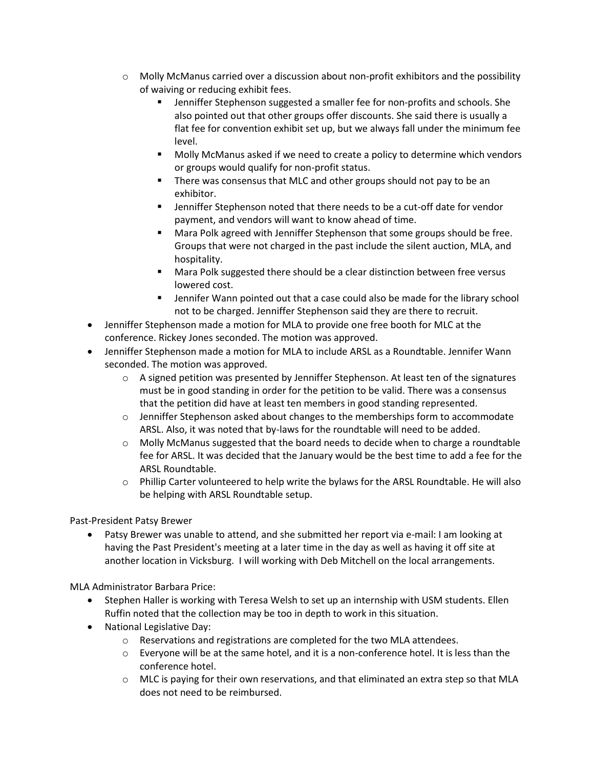- $\circ$  Molly McManus carried over a discussion about non-profit exhibitors and the possibility of waiving or reducing exhibit fees.
	- Jenniffer Stephenson suggested a smaller fee for non-profits and schools. She also pointed out that other groups offer discounts. She said there is usually a flat fee for convention exhibit set up, but we always fall under the minimum fee level.
	- Molly McManus asked if we need to create a policy to determine which vendors or groups would qualify for non-profit status.
	- There was consensus that MLC and other groups should not pay to be an exhibitor.
	- Jenniffer Stephenson noted that there needs to be a cut-off date for vendor payment, and vendors will want to know ahead of time.
	- Mara Polk agreed with Jenniffer Stephenson that some groups should be free. Groups that were not charged in the past include the silent auction, MLA, and hospitality.
	- **Mara Polk suggested there should be a clear distinction between free versus** lowered cost.
	- Jennifer Wann pointed out that a case could also be made for the library school not to be charged. Jenniffer Stephenson said they are there to recruit.
- Jenniffer Stephenson made a motion for MLA to provide one free booth for MLC at the conference. Rickey Jones seconded. The motion was approved.
- Jenniffer Stephenson made a motion for MLA to include ARSL as a Roundtable. Jennifer Wann seconded. The motion was approved.
	- $\circ$  A signed petition was presented by Jenniffer Stephenson. At least ten of the signatures must be in good standing in order for the petition to be valid. There was a consensus that the petition did have at least ten members in good standing represented.
	- $\circ$  Jenniffer Stephenson asked about changes to the memberships form to accommodate ARSL. Also, it was noted that by-laws for the roundtable will need to be added.
	- $\circ$  Molly McManus suggested that the board needs to decide when to charge a roundtable fee for ARSL. It was decided that the January would be the best time to add a fee for the ARSL Roundtable.
	- $\circ$  Phillip Carter volunteered to help write the bylaws for the ARSL Roundtable. He will also be helping with ARSL Roundtable setup.

Past-President Patsy Brewer

 Patsy Brewer was unable to attend, and she submitted her report via e-mail: I am looking at having the Past President's meeting at a later time in the day as well as having it off site at another location in Vicksburg. I will working with Deb Mitchell on the local arrangements.

MLA Administrator Barbara Price:

- Stephen Haller is working with Teresa Welsh to set up an internship with USM students. Ellen Ruffin noted that the collection may be too in depth to work in this situation.
- National Legislative Day:
	- o Reservations and registrations are completed for the two MLA attendees.
	- $\circ$  Everyone will be at the same hotel, and it is a non-conference hotel. It is less than the conference hotel.
	- $\circ$  MLC is paying for their own reservations, and that eliminated an extra step so that MLA does not need to be reimbursed.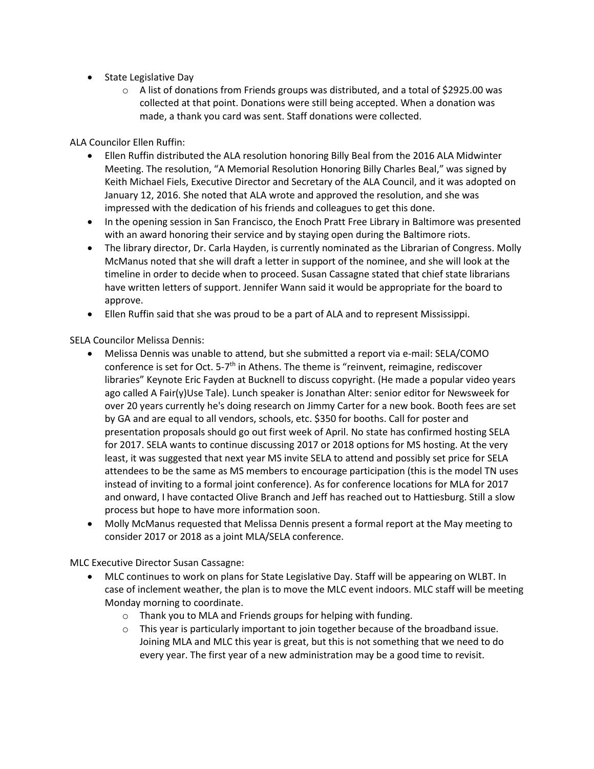- State Legislative Day
	- o A list of donations from Friends groups was distributed, and a total of \$2925.00 was collected at that point. Donations were still being accepted. When a donation was made, a thank you card was sent. Staff donations were collected.

ALA Councilor Ellen Ruffin:

- Ellen Ruffin distributed the ALA resolution honoring Billy Beal from the 2016 ALA Midwinter Meeting. The resolution, "A Memorial Resolution Honoring Billy Charles Beal," was signed by Keith Michael Fiels, Executive Director and Secretary of the ALA Council, and it was adopted on January 12, 2016. She noted that ALA wrote and approved the resolution, and she was impressed with the dedication of his friends and colleagues to get this done.
- In the opening session in San Francisco, the Enoch Pratt Free Library in Baltimore was presented with an award honoring their service and by staying open during the Baltimore riots.
- The library director, Dr. Carla Hayden, is currently nominated as the Librarian of Congress. Molly McManus noted that she will draft a letter in support of the nominee, and she will look at the timeline in order to decide when to proceed. Susan Cassagne stated that chief state librarians have written letters of support. Jennifer Wann said it would be appropriate for the board to approve.
- Ellen Ruffin said that she was proud to be a part of ALA and to represent Mississippi.

SELA Councilor Melissa Dennis:

- Melissa Dennis was unable to attend, but she submitted a report via e-mail: SELA/COMO conference is set for Oct. 5-7<sup>th</sup> in Athens. The theme is "reinvent, reimagine, rediscover libraries" Keynote Eric Fayden at Bucknell to discuss copyright. (He made a popular video years ago called A Fair(y)Use Tale). Lunch speaker is Jonathan Alter: senior editor for Newsweek for over 20 years currently he's doing research on Jimmy Carter for a new book. Booth fees are set by GA and are equal to all vendors, schools, etc. \$350 for booths. Call for poster and presentation proposals should go out first week of April. No state has confirmed hosting SELA for 2017. SELA wants to continue discussing 2017 or 2018 options for MS hosting. At the very least, it was suggested that next year MS invite SELA to attend and possibly set price for SELA attendees to be the same as MS members to encourage participation (this is the model TN uses instead of inviting to a formal joint conference). As for conference locations for MLA for 2017 and onward, I have contacted Olive Branch and Jeff has reached out to Hattiesburg. Still a slow process but hope to have more information soon.
- Molly McManus requested that Melissa Dennis present a formal report at the May meeting to consider 2017 or 2018 as a joint MLA/SELA conference.

MLC Executive Director Susan Cassagne:

- MLC continues to work on plans for State Legislative Day. Staff will be appearing on WLBT. In case of inclement weather, the plan is to move the MLC event indoors. MLC staff will be meeting Monday morning to coordinate.
	- o Thank you to MLA and Friends groups for helping with funding.
	- $\circ$  This year is particularly important to join together because of the broadband issue. Joining MLA and MLC this year is great, but this is not something that we need to do every year. The first year of a new administration may be a good time to revisit.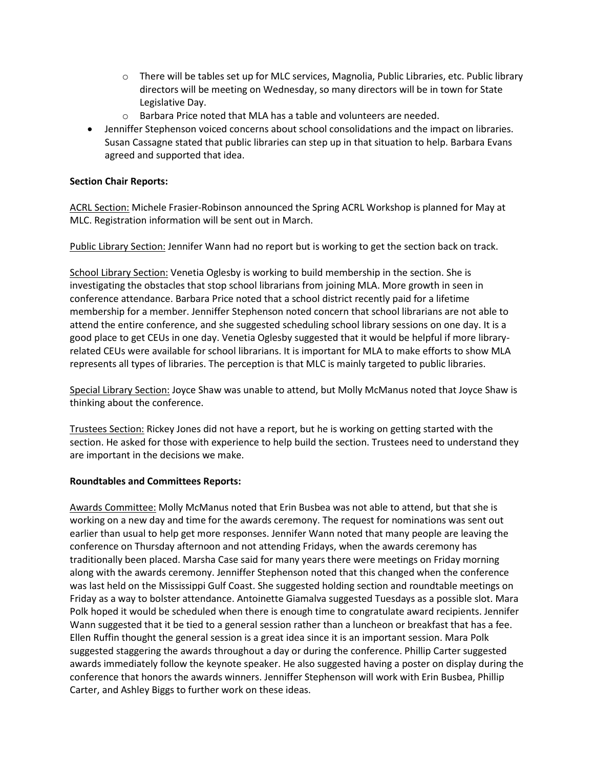- $\circ$  There will be tables set up for MLC services, Magnolia, Public Libraries, etc. Public library directors will be meeting on Wednesday, so many directors will be in town for State Legislative Day.
- o Barbara Price noted that MLA has a table and volunteers are needed.
- Jenniffer Stephenson voiced concerns about school consolidations and the impact on libraries. Susan Cassagne stated that public libraries can step up in that situation to help. Barbara Evans agreed and supported that idea.

## **Section Chair Reports:**

ACRL Section: Michele Frasier-Robinson announced the Spring ACRL Workshop is planned for May at MLC. Registration information will be sent out in March.

Public Library Section: Jennifer Wann had no report but is working to get the section back on track.

School Library Section: Venetia Oglesby is working to build membership in the section. She is investigating the obstacles that stop school librarians from joining MLA. More growth in seen in conference attendance. Barbara Price noted that a school district recently paid for a lifetime membership for a member. Jenniffer Stephenson noted concern that school librarians are not able to attend the entire conference, and she suggested scheduling school library sessions on one day. It is a good place to get CEUs in one day. Venetia Oglesby suggested that it would be helpful if more libraryrelated CEUs were available for school librarians. It is important for MLA to make efforts to show MLA represents all types of libraries. The perception is that MLC is mainly targeted to public libraries.

Special Library Section: Joyce Shaw was unable to attend, but Molly McManus noted that Joyce Shaw is thinking about the conference.

Trustees Section: Rickey Jones did not have a report, but he is working on getting started with the section. He asked for those with experience to help build the section. Trustees need to understand they are important in the decisions we make.

## **Roundtables and Committees Reports:**

Awards Committee: Molly McManus noted that Erin Busbea was not able to attend, but that she is working on a new day and time for the awards ceremony. The request for nominations was sent out earlier than usual to help get more responses. Jennifer Wann noted that many people are leaving the conference on Thursday afternoon and not attending Fridays, when the awards ceremony has traditionally been placed. Marsha Case said for many years there were meetings on Friday morning along with the awards ceremony. Jenniffer Stephenson noted that this changed when the conference was last held on the Mississippi Gulf Coast. She suggested holding section and roundtable meetings on Friday as a way to bolster attendance. Antoinette Giamalva suggested Tuesdays as a possible slot. Mara Polk hoped it would be scheduled when there is enough time to congratulate award recipients. Jennifer Wann suggested that it be tied to a general session rather than a luncheon or breakfast that has a fee. Ellen Ruffin thought the general session is a great idea since it is an important session. Mara Polk suggested staggering the awards throughout a day or during the conference. Phillip Carter suggested awards immediately follow the keynote speaker. He also suggested having a poster on display during the conference that honors the awards winners. Jenniffer Stephenson will work with Erin Busbea, Phillip Carter, and Ashley Biggs to further work on these ideas.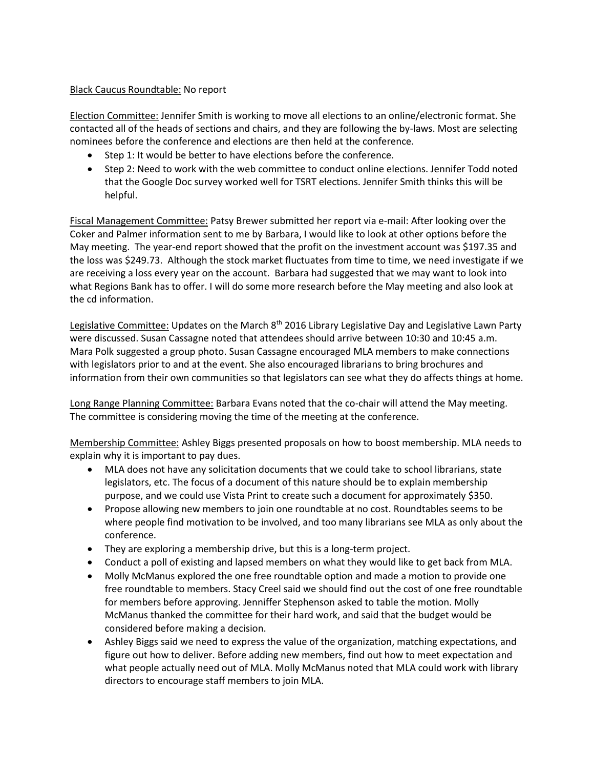## Black Caucus Roundtable: No report

Election Committee: Jennifer Smith is working to move all elections to an online/electronic format. She contacted all of the heads of sections and chairs, and they are following the by-laws. Most are selecting nominees before the conference and elections are then held at the conference.

- Step 1: It would be better to have elections before the conference.
- Step 2: Need to work with the web committee to conduct online elections. Jennifer Todd noted that the Google Doc survey worked well for TSRT elections. Jennifer Smith thinks this will be helpful.

Fiscal Management Committee: Patsy Brewer submitted her report via e-mail: After looking over the Coker and Palmer information sent to me by Barbara, I would like to look at other options before the May meeting. The year-end report showed that the profit on the investment account was \$197.35 and the loss was \$249.73. Although the stock market fluctuates from time to time, we need investigate if we are receiving a loss every year on the account. Barbara had suggested that we may want to look into what Regions Bank has to offer. I will do some more research before the May meeting and also look at the cd information.

Legislative Committee: Updates on the March 8<sup>th</sup> 2016 Library Legislative Day and Legislative Lawn Party were discussed. Susan Cassagne noted that attendees should arrive between 10:30 and 10:45 a.m. Mara Polk suggested a group photo. Susan Cassagne encouraged MLA members to make connections with legislators prior to and at the event. She also encouraged librarians to bring brochures and information from their own communities so that legislators can see what they do affects things at home.

Long Range Planning Committee: Barbara Evans noted that the co-chair will attend the May meeting. The committee is considering moving the time of the meeting at the conference.

Membership Committee: Ashley Biggs presented proposals on how to boost membership. MLA needs to explain why it is important to pay dues.

- MLA does not have any solicitation documents that we could take to school librarians, state legislators, etc. The focus of a document of this nature should be to explain membership purpose, and we could use Vista Print to create such a document for approximately \$350.
- Propose allowing new members to join one roundtable at no cost. Roundtables seems to be where people find motivation to be involved, and too many librarians see MLA as only about the conference.
- They are exploring a membership drive, but this is a long-term project.
- Conduct a poll of existing and lapsed members on what they would like to get back from MLA.
- Molly McManus explored the one free roundtable option and made a motion to provide one free roundtable to members. Stacy Creel said we should find out the cost of one free roundtable for members before approving. Jenniffer Stephenson asked to table the motion. Molly McManus thanked the committee for their hard work, and said that the budget would be considered before making a decision.
- Ashley Biggs said we need to express the value of the organization, matching expectations, and figure out how to deliver. Before adding new members, find out how to meet expectation and what people actually need out of MLA. Molly McManus noted that MLA could work with library directors to encourage staff members to join MLA.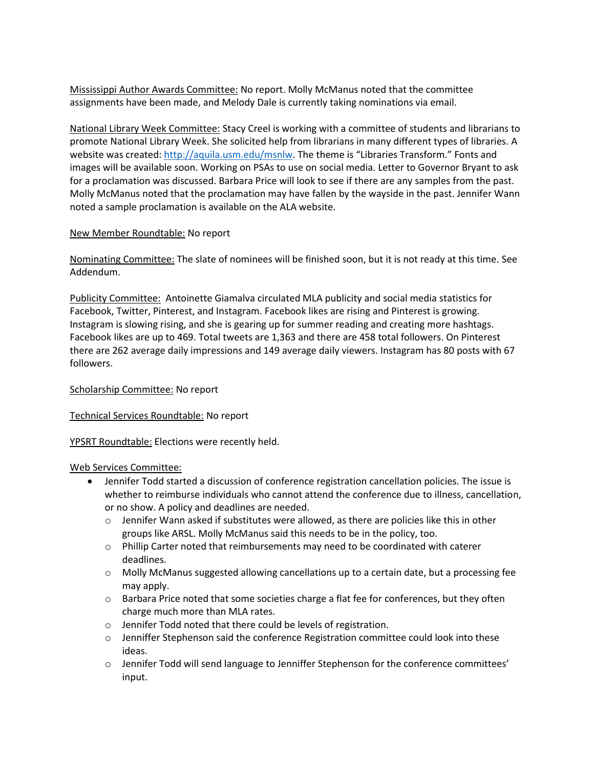Mississippi Author Awards Committee: No report. Molly McManus noted that the committee assignments have been made, and Melody Dale is currently taking nominations via email.

National Library Week Committee: Stacy Creel is working with a committee of students and librarians to promote National Library Week. She solicited help from librarians in many different types of libraries. A website was created:<http://aquila.usm.edu/msnlw>. The theme is "Libraries Transform." Fonts and images will be available soon. Working on PSAs to use on social media. Letter to Governor Bryant to ask for a proclamation was discussed. Barbara Price will look to see if there are any samples from the past. Molly McManus noted that the proclamation may have fallen by the wayside in the past. Jennifer Wann noted a sample proclamation is available on the ALA website.

## New Member Roundtable: No report

Nominating Committee: The slate of nominees will be finished soon, but it is not ready at this time. See Addendum.

Publicity Committee: Antoinette Giamalva circulated MLA publicity and social media statistics for Facebook, Twitter, Pinterest, and Instagram. Facebook likes are rising and Pinterest is growing. Instagram is slowing rising, and she is gearing up for summer reading and creating more hashtags. Facebook likes are up to 469. Total tweets are 1,363 and there are 458 total followers. On Pinterest there are 262 average daily impressions and 149 average daily viewers. Instagram has 80 posts with 67 followers.

## Scholarship Committee: No report

Technical Services Roundtable: No report

YPSRT Roundtable: Elections were recently held.

# Web Services Committee:

- Jennifer Todd started a discussion of conference registration cancellation policies. The issue is whether to reimburse individuals who cannot attend the conference due to illness, cancellation, or no show. A policy and deadlines are needed.
	- $\circ$  Jennifer Wann asked if substitutes were allowed, as there are policies like this in other groups like ARSL. Molly McManus said this needs to be in the policy, too.
	- $\circ$  Phillip Carter noted that reimbursements may need to be coordinated with caterer deadlines.
	- o Molly McManus suggested allowing cancellations up to a certain date, but a processing fee may apply.
	- $\circ$  Barbara Price noted that some societies charge a flat fee for conferences, but they often charge much more than MLA rates.
	- o Jennifer Todd noted that there could be levels of registration.
	- o Jenniffer Stephenson said the conference Registration committee could look into these ideas.
	- $\circ$  Jennifer Todd will send language to Jenniffer Stephenson for the conference committees' input.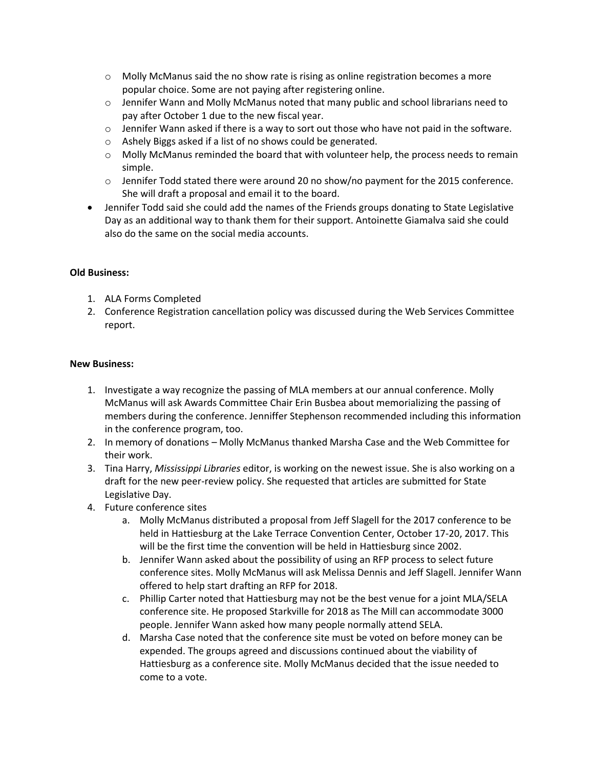- $\circ$  Molly McManus said the no show rate is rising as online registration becomes a more popular choice. Some are not paying after registering online.
- $\circ$  Jennifer Wann and Molly McManus noted that many public and school librarians need to pay after October 1 due to the new fiscal year.
- $\circ$  Jennifer Wann asked if there is a way to sort out those who have not paid in the software.
- o Ashely Biggs asked if a list of no shows could be generated.
- o Molly McManus reminded the board that with volunteer help, the process needs to remain simple.
- o Jennifer Todd stated there were around 20 no show/no payment for the 2015 conference. She will draft a proposal and email it to the board.
- Jennifer Todd said she could add the names of the Friends groups donating to State Legislative Day as an additional way to thank them for their support. Antoinette Giamalva said she could also do the same on the social media accounts.

## **Old Business:**

- 1. ALA Forms Completed
- 2. Conference Registration cancellation policy was discussed during the Web Services Committee report.

## **New Business:**

- 1. Investigate a way recognize the passing of MLA members at our annual conference. Molly McManus will ask Awards Committee Chair Erin Busbea about memorializing the passing of members during the conference. Jenniffer Stephenson recommended including this information in the conference program, too.
- 2. In memory of donations Molly McManus thanked Marsha Case and the Web Committee for their work.
- 3. Tina Harry, *Mississippi Libraries* editor, is working on the newest issue. She is also working on a draft for the new peer-review policy. She requested that articles are submitted for State Legislative Day.
- 4. Future conference sites
	- a. Molly McManus distributed a proposal from Jeff Slagell for the 2017 conference to be held in Hattiesburg at the Lake Terrace Convention Center, October 17-20, 2017. This will be the first time the convention will be held in Hattiesburg since 2002.
	- b. Jennifer Wann asked about the possibility of using an RFP process to select future conference sites. Molly McManus will ask Melissa Dennis and Jeff Slagell. Jennifer Wann offered to help start drafting an RFP for 2018.
	- c. Phillip Carter noted that Hattiesburg may not be the best venue for a joint MLA/SELA conference site. He proposed Starkville for 2018 as The Mill can accommodate 3000 people. Jennifer Wann asked how many people normally attend SELA.
	- d. Marsha Case noted that the conference site must be voted on before money can be expended. The groups agreed and discussions continued about the viability of Hattiesburg as a conference site. Molly McManus decided that the issue needed to come to a vote.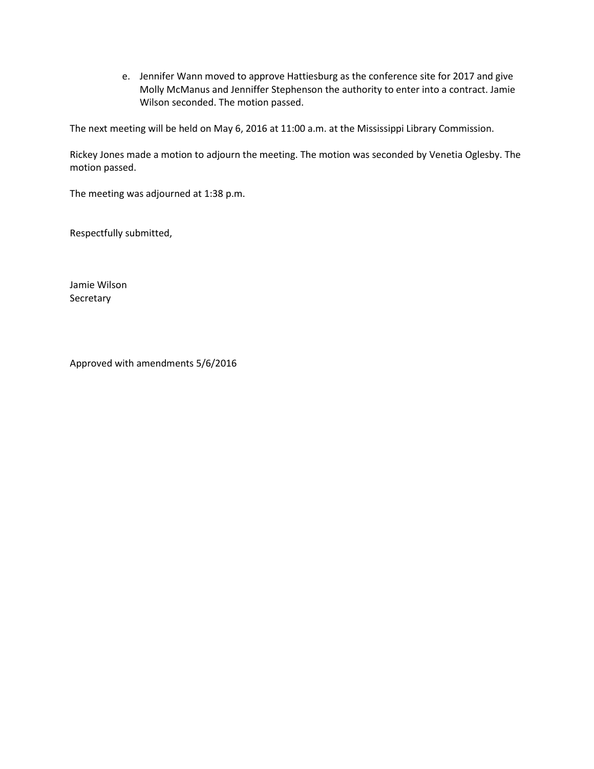e. Jennifer Wann moved to approve Hattiesburg as the conference site for 2017 and give Molly McManus and Jenniffer Stephenson the authority to enter into a contract. Jamie Wilson seconded. The motion passed.

The next meeting will be held on May 6, 2016 at 11:00 a.m. at the Mississippi Library Commission.

Rickey Jones made a motion to adjourn the meeting. The motion was seconded by Venetia Oglesby. The motion passed.

The meeting was adjourned at 1:38 p.m.

Respectfully submitted,

Jamie Wilson Secretary

Approved with amendments 5/6/2016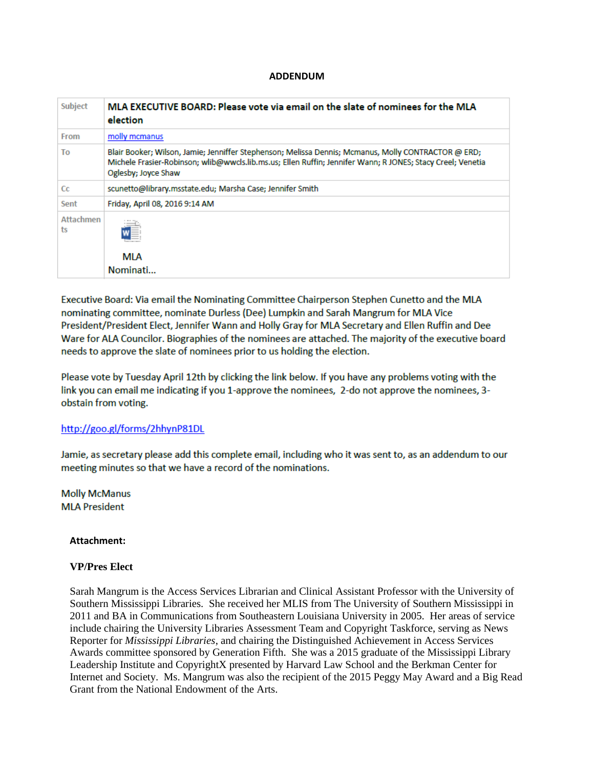#### **ADDENDUM**

| Subject         | MLA EXECUTIVE BOARD: Please vote via email on the slate of nominees for the MLA<br>election                                                                                                                                              |
|-----------------|------------------------------------------------------------------------------------------------------------------------------------------------------------------------------------------------------------------------------------------|
| From            | molly mcmanus                                                                                                                                                                                                                            |
| To              | Blair Booker; Wilson, Jamie; Jenniffer Stephenson; Melissa Dennis; Mcmanus, Molly CONTRACTOR @ ERD;<br>Michele Frasier-Robinson; wlib@wwcls.lib.ms.us; Ellen Ruffin; Jennifer Wann; R JONES; Stacy Creel; Venetia<br>Oglesby; Joyce Shaw |
| Cc              | scunetto@library.msstate.edu; Marsha Case; Jennifer Smith                                                                                                                                                                                |
| Sent            | Friday, April 08, 2016 9:14 AM                                                                                                                                                                                                           |
| Attachmen<br>ts | MLA<br>Nominati                                                                                                                                                                                                                          |

Executive Board: Via email the Nominating Committee Chairperson Stephen Cunetto and the MLA nominating committee, nominate Durless (Dee) Lumpkin and Sarah Mangrum for MLA Vice President/President Elect, Jennifer Wann and Holly Gray for MLA Secretary and Ellen Ruffin and Dee Ware for ALA Councilor. Biographies of the nominees are attached. The majority of the executive board needs to approve the slate of nominees prior to us holding the election.

Please vote by Tuesday April 12th by clicking the link below. If you have any problems voting with the link you can email me indicating if you 1-approve the nominees, 2-do not approve the nominees, 3obstain from voting.

#### http://goo.gl/forms/2hhynP81DL

Jamie, as secretary please add this complete email, including who it was sent to, as an addendum to our meeting minutes so that we have a record of the nominations.

**Molly McManus MLA President** 

#### **Attachment:**

#### **VP/Pres Elect**

Sarah Mangrum is the Access Services Librarian and Clinical Assistant Professor with the University of Southern Mississippi Libraries. She received her MLIS from The University of Southern Mississippi in 2011 and BA in Communications from Southeastern Louisiana University in 2005. Her areas of service include chairing the University Libraries Assessment Team and Copyright Taskforce, serving as News Reporter for *Mississippi Libraries*, and chairing the Distinguished Achievement in Access Services Awards committee sponsored by Generation Fifth. She was a 2015 graduate of the Mississippi Library Leadership Institute and CopyrightX presented by Harvard Law School and the Berkman Center for Internet and Society. Ms. Mangrum was also the recipient of the 2015 Peggy May Award and a Big Read Grant from the National Endowment of the Arts.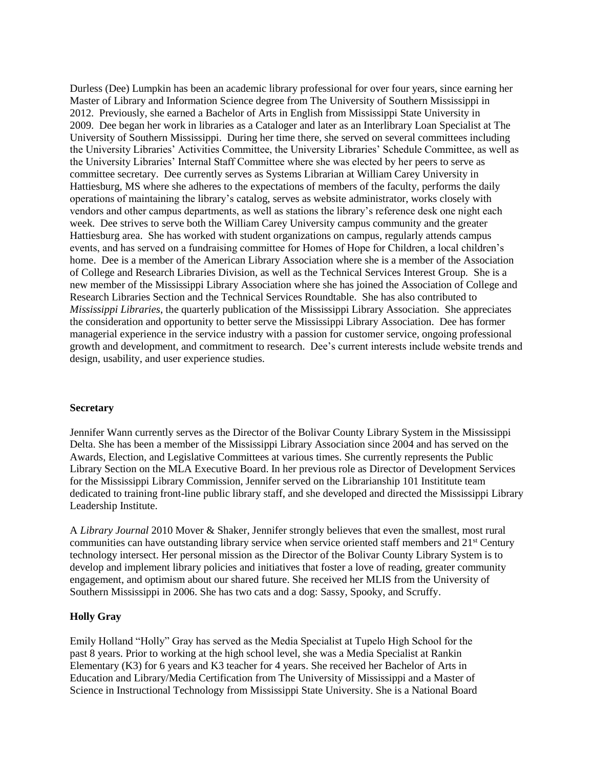Durless (Dee) Lumpkin has been an academic library professional for over four years, since earning her Master of Library and Information Science degree from The University of Southern Mississippi in 2012. Previously, she earned a Bachelor of Arts in English from Mississippi State University in 2009. Dee began her work in libraries as a Cataloger and later as an Interlibrary Loan Specialist at The University of Southern Mississippi. During her time there, she served on several committees including the University Libraries' Activities Committee, the University Libraries' Schedule Committee, as well as the University Libraries' Internal Staff Committee where she was elected by her peers to serve as committee secretary. Dee currently serves as Systems Librarian at William Carey University in Hattiesburg, MS where she adheres to the expectations of members of the faculty, performs the daily operations of maintaining the library's catalog, serves as website administrator, works closely with vendors and other campus departments, as well as stations the library's reference desk one night each week. Dee strives to serve both the William Carey University campus community and the greater Hattiesburg area. She has worked with student organizations on campus, regularly attends campus events, and has served on a fundraising committee for Homes of Hope for Children, a local children's home. Dee is a member of the American Library Association where she is a member of the Association of College and Research Libraries Division, as well as the Technical Services Interest Group. She is a new member of the Mississippi Library Association where she has joined the Association of College and Research Libraries Section and the Technical Services Roundtable. She has also contributed to *Mississippi Libraries*, the quarterly publication of the Mississippi Library Association. She appreciates the consideration and opportunity to better serve the Mississippi Library Association. Dee has former managerial experience in the service industry with a passion for customer service, ongoing professional growth and development, and commitment to research. Dee's current interests include website trends and design, usability, and user experience studies.

#### **Secretary**

Jennifer Wann currently serves as the Director of the Bolivar County Library System in the Mississippi Delta. She has been a member of the Mississippi Library Association since 2004 and has served on the Awards, Election, and Legislative Committees at various times. She currently represents the Public Library Section on the MLA Executive Board. In her previous role as Director of Development Services for the Mississippi Library Commission, Jennifer served on the Librarianship 101 Instititute team dedicated to training front-line public library staff, and she developed and directed the Mississippi Library Leadership Institute.

A *Library Journal* 2010 Mover & Shaker, Jennifer strongly believes that even the smallest, most rural communities can have outstanding library service when service oriented staff members and 21<sup>st</sup> Century technology intersect. Her personal mission as the Director of the Bolivar County Library System is to develop and implement library policies and initiatives that foster a love of reading, greater community engagement, and optimism about our shared future. She received her MLIS from the University of Southern Mississippi in 2006. She has two cats and a dog: Sassy, Spooky, and Scruffy.

## **Holly Gray**

Emily Holland "Holly" Gray has served as the Media Specialist at Tupelo High School for the past 8 years. Prior to working at the high school level, she was a Media Specialist at Rankin Elementary (K3) for 6 years and K3 teacher for 4 years. She received her Bachelor of Arts in Education and Library/Media Certification from The University of Mississippi and a Master of Science in Instructional Technology from Mississippi State University. She is a National Board